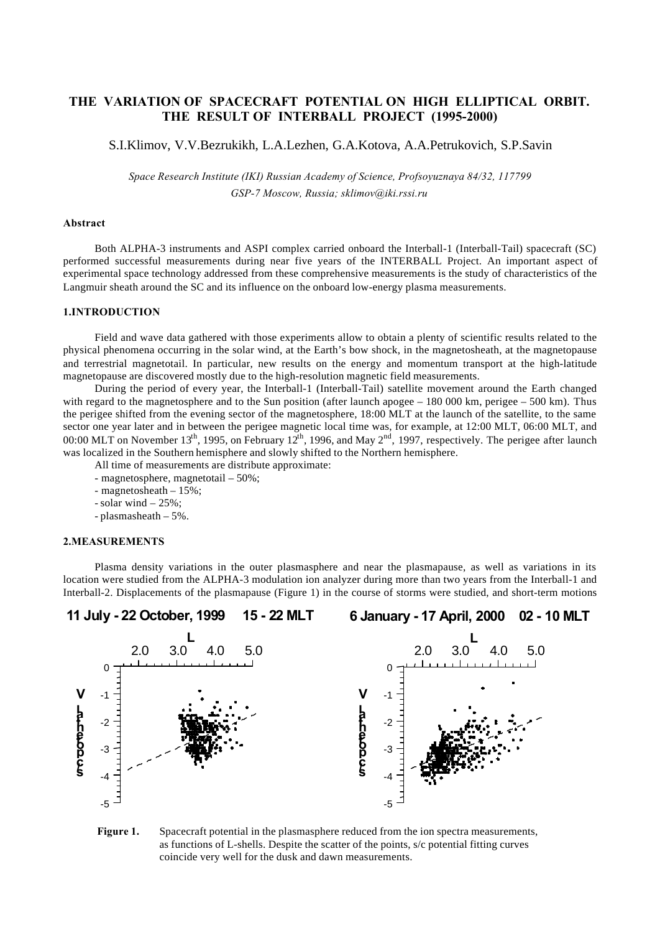# **THE VARIATION OF SPACECRAFT POTENTIAL ON HIGH ELLIPTICAL ORBIT. THE RESULT OF INTERBALL PROJECT (1995-2000)**

S.I.Klimov, V.V.Bezrukikh, L.A.Lezhen, G.A.Kotova, A.A.Petrukovich, S.P.Savin

*Space Research Institute (IKI) Russian Academy of Science, Profsoyuznaya 84/32, 117799 GSP-7 Moscow, Russia; sklimov@iki.rssi.ru*

#### **Abstract**

Both ALPHA-3 instruments and ASPI complex carried onboard the Interball-1 (Interball-Tail) spacecraft (SC) performed successful measurements during near five years of the INTERBALL Project. An important aspect of experimental space technology addressed from these comprehensive measurements is the study of characteristics of the Langmuir sheath around the SC and its influence on the onboard low-energy plasma measurements.

# **1.INTRODUCTION**

Field and wave data gathered with those experiments allow to obtain a plenty of scientific results related to the physical phenomena occurring in the solar wind, at the Earth's bow shock, in the magnetosheath, at the magnetopause and terrestrial magnetotail. In particular, new results on the energy and momentum transport at the high-latitude magnetopause are discovered mostly due to the high-resolution magnetic field measurements.

During the period of every year, the Interball-1 (Interball-Tail) satellite movement around the Earth changed with regard to the magnetosphere and to the Sun position (after launch apogee  $-180\,000$  km, perigee  $-500$  km). Thus the perigee shifted from the evening sector of the magnetosphere, 18:00 MLT at the launch of the satellite, to the same sector one year later and in between the perigee magnetic local time was, for example, at 12:00 MLT, 06:00 MLT, and 00:00 MLT on November 13<sup>th</sup>, 1995, on February 12<sup>th</sup>, 1996, and May 2<sup>nd</sup>, 1997, respectively. The perigee after launch was localized in the Southern hemisphere and slowly shifted to the Northern hemisphere.

All time of measurements are distribute approximate:

- magnetosphere, magnetotail 50%;
- magnetosheath 15%;
- solar wind 25%;
- plasmasheath 5%.

### **2.MEASUREMENTS**

Plasma density variations in the outer plasmasphere and near the plasmapause, as well as variations in its location were studied from the ALPHA-3 modulation ion analyzer during more than two years from the Interball-1 and Interball-2. Displacements of the plasmapause (Figure 1) in the course of storms were studied, and short-term motions



**Figure 1.** Spacecraft potential in the plasmasphere reduced from the ion spectra measurements, as functions of L-shells. Despite the scatter of the points, s/c potential fitting curves coincide very well for the dusk and dawn measurements.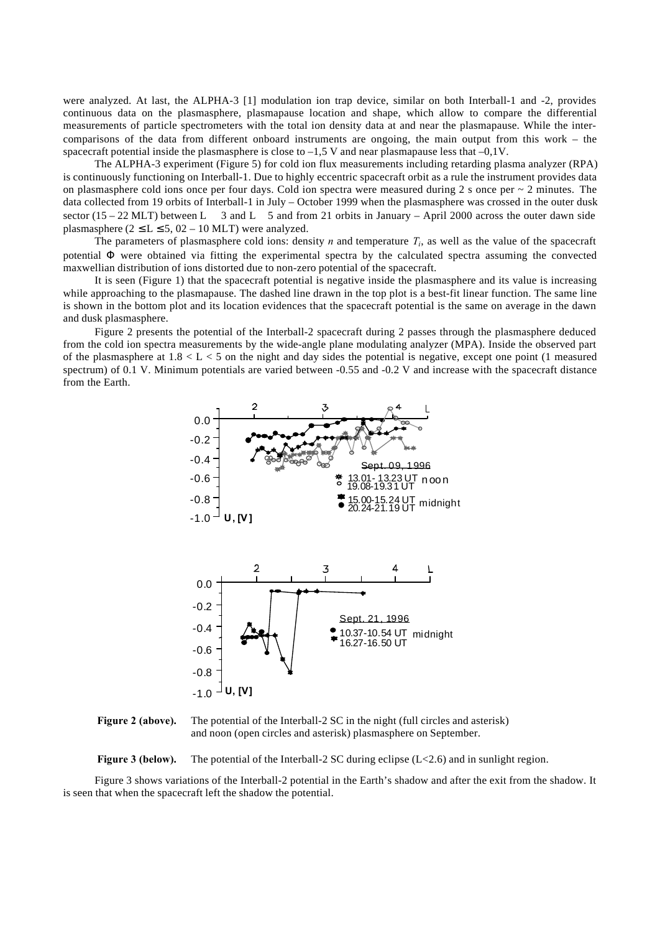were analyzed. At last, the ALPHA-3 [1] modulation ion trap device, similar on both Interball-1 and -2, provides continuous data on the plasmasphere, plasmapause location and shape, which allow to compare the differential measurements of particle spectrometers with the total ion density data at and near the plasmapause. While the intercomparisons of the data from different onboard instruments are ongoing, the main output from this work – the spacecraft potential inside the plasmasphere is close to  $-1.5$  V and near plasmapause less that  $-0.1V$ .

The ALPHA-3 experiment (Figure 5) for cold ion flux measurements including retarding plasma analyzer (RPA) is continuously functioning on Interball-1. Due to highly eccentric spacecraft orbit as a rule the instrument provides data on plasmasphere cold ions once per four days. Cold ion spectra were measured during 2 s once per  $\sim$  2 minutes. The data collected from 19 orbits of Interball-1 in July – October 1999 when the plasmasphere was crossed in the outer dusk sector (15 – 22 MLT) between L  $\,$  3 and L  $\,$  5 and from 21 orbits in January – April 2000 across the outer dawn side plasmasphere  $(2 \le L \le 5, 02 - 10$  MLT) were analyzed.

The parameters of plasmasphere cold ions: density *n* and temperature *T<sup>i</sup>* , as well as the value of the spacecraft potential Φ were obtained via fitting the experimental spectra by the calculated spectra assuming the convected maxwellian distribution of ions distorted due to non-zero potential of the spacecraft.

It is seen (Figure 1) that the spacecraft potential is negative inside the plasmasphere and its value is increasing while approaching to the plasmapause. The dashed line drawn in the top plot is a best-fit linear function. The same line is shown in the bottom plot and its location evidences that the spacecraft potential is the same on average in the dawn and dusk plasmasphere.

Figure 2 presents the potential of the Interball-2 spacecraft during 2 passes through the plasmasphere deduced from the cold ion spectra measurements by the wide-angle plane modulating analyzer (MPA). Inside the observed part of the plasmasphere at  $1.8 < L < 5$  on the night and day sides the potential is negative, except one point (1 measured spectrum) of 0.1 V. Minimum potentials are varied between -0.55 and -0.2 V and increase with the spacecraft distance from the Earth.



**Figure 2 (above).** The potential of the Interball-2 SC in the night (full circles and asterisk) and noon (open circles and asterisk) plasmasphere on September.

**Figure 3 (below).** The potential of the Interball-2 SC during eclipse  $(L<2.6)$  and in sunlight region.

Figure 3 shows variations of the Interball-2 potential in the Earth's shadow and after the exit from the shadow. It is seen that when the spacecraft left the shadow the potential.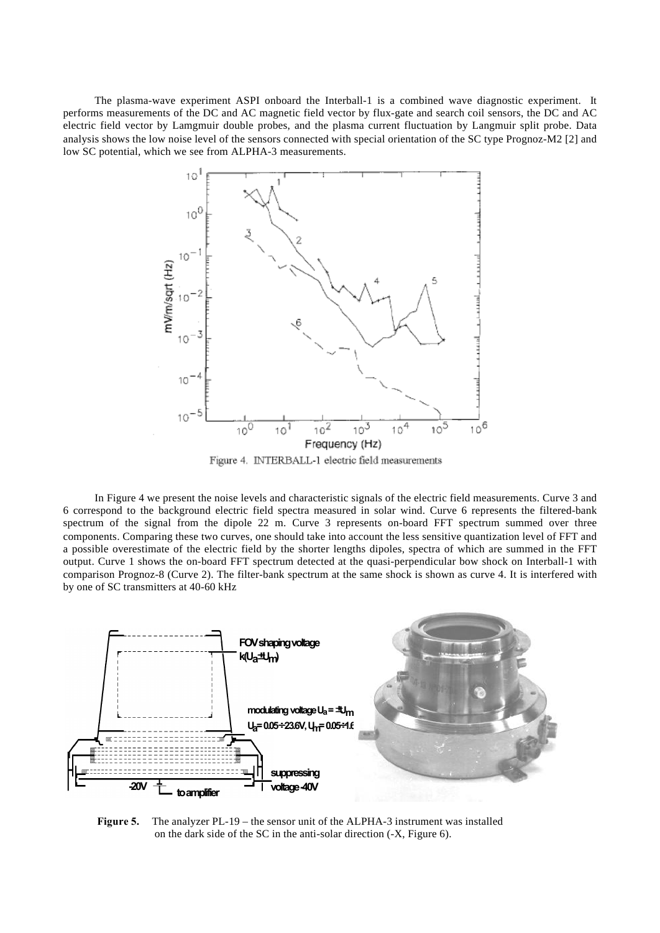The plasma-wave experiment ASPI onboard the Interball-1 is a combined wave diagnostic experiment. It performs measurements of the DC and AC magnetic field vector by flux-gate and search coil sensors, the DC and AC electric field vector by Lamgmuir double probes, and the plasma current fluctuation by Langmuir split probe. Data analysis shows the low noise level of the sensors connected with special orientation of the SC type Prognoz-M2 [2] and low SC potential, which we see from ALPHA-3 measurements.



In Figure 4 we present the noise levels and characteristic signals of the electric field measurements. Curve 3 and 6 correspond to the background electric field spectra measured in solar wind. Curve 6 represents the filtered-bank spectrum of the signal from the dipole 22 m. Curve 3 represents on-board FFT spectrum summed over three components. Comparing these two curves, one should take into account the less sensitive quantization level of FFT and a possible overestimate of the electric field by the shorter lengths dipoles, spectra of which are summed in the FFT output. Curve 1 shows the on-board FFT spectrum detected at the quasi-perpendicular bow shock on Interball-1 with comparison Prognoz-8 (Curve 2). The filter-bank spectrum at the same shock is shown as curve 4. It is interfered with by one of SC transmitters at 40-60 kHz



**Figure 5.** The analyzer PL-19 – the sensor unit of the ALPHA-3 instrument was installed on the dark side of the SC in the anti-solar direction (-X, Figure 6).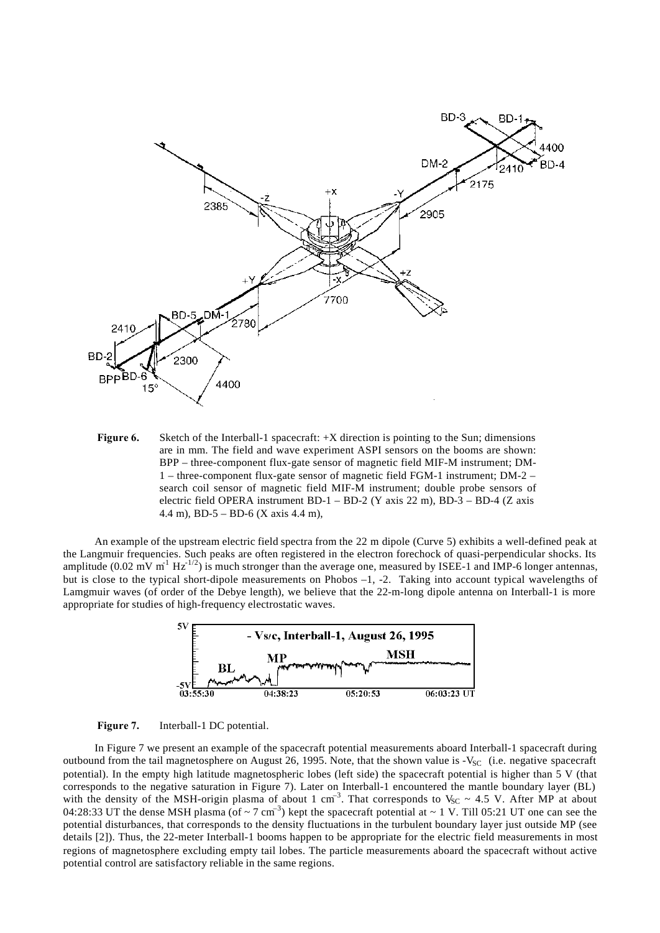

**Figure 6.** Sketch of the Interball-1 spacecraft: +X direction is pointing to the Sun; dimensions are in mm. The field and wave experiment ASPI sensors on the booms are shown: BPP – three-component flux-gate sensor of magnetic field MIF-M instrument; DM-1 – three-component flux-gate sensor of magnetic field FGM-1 instrument; DM-2 – search coil sensor of magnetic field MIF-M instrument; double probe sensors of electric field OPERA instrument BD-1 – BD-2 (Y axis 22 m), BD-3 – BD-4 (Z axis 4.4 m), BD-5 – BD-6 (X axis 4.4 m),

An example of the upstream electric field spectra from the 22 m dipole (Curve 5) exhibits a well-defined peak at the Langmuir frequencies. Such peaks are often registered in the electron forechock of quasi-perpendicular shocks. Its amplitude  $(0.02 \text{ mV m}^{-1} \text{ Hz}^{-1/2})$  is much stronger than the average one, measured by ISEE-1 and IMP-6 longer antennas, but is close to the typical short-dipole measurements on Phobos –1, -2. Taking into account typical wavelengths of Lamgmuir waves (of order of the Debye length), we believe that the 22-m-long dipole antenna on Interball-1 is more appropriate for studies of high-frequency electrostatic waves.





In Figure 7 we present an example of the spacecraft potential measurements aboard Interball-1 spacecraft during outbound from the tail magnetosphere on August 26, 1995. Note, that the shown value is  $-V_{SC}$  (i.e. negative spacecraft potential). In the empty high latitude magnetospheric lobes (left side) the spacecraft potential is higher than 5 V (that corresponds to the negative saturation in Figure 7). Later on Interball-1 encountered the mantle boundary layer (BL) with the density of the MSH-origin plasma of about 1 cm<sup>-3</sup>. That corresponds to  $V_{SC} \sim 4.5$  V. After MP at about 04:28:33 UT the dense MSH plasma (of  $\sim$  7 cm<sup>-3</sup>) kept the spacecraft potential at  $\sim$  1 V. Till 05:21 UT one can see the potential disturbances, that corresponds to the density fluctuations in the turbulent boundary layer just outside MP (see details [2]). Thus, the 22-meter Interball-1 booms happen to be appropriate for the electric field measurements in most regions of magnetosphere excluding empty tail lobes. The particle measurements aboard the spacecraft without active potential control are satisfactory reliable in the same regions.